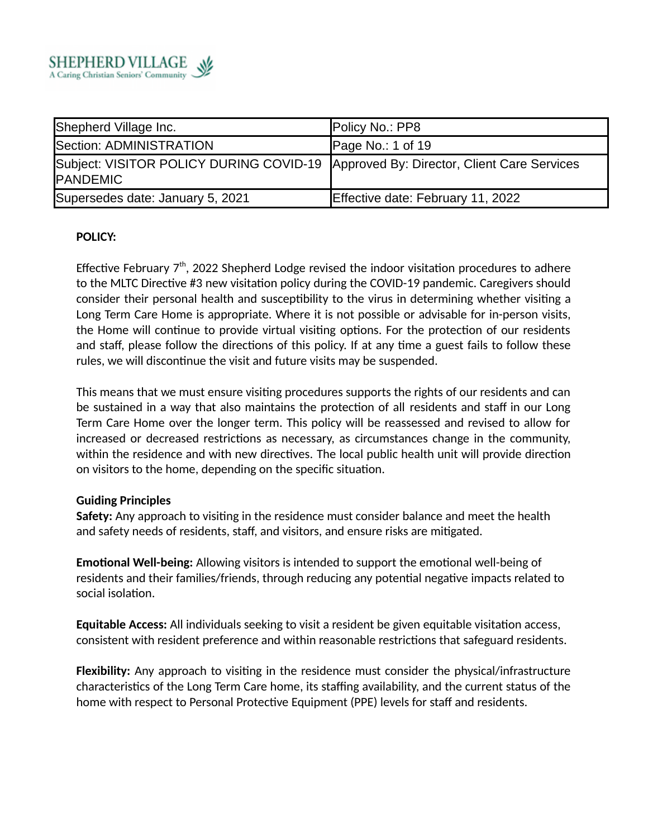

| Shepherd Village Inc.                                                                                  | Policy No.: PP8                   |
|--------------------------------------------------------------------------------------------------------|-----------------------------------|
| Section: ADMINISTRATION                                                                                | Page No.: 1 of 19                 |
| Subject: VISITOR POLICY DURING COVID-19 Approved By: Director, Client Care Services<br><b>PANDEMIC</b> |                                   |
| Supersedes date: January 5, 2021                                                                       | Effective date: February 11, 2022 |

### **POLICY:**

Effective February  $7<sup>th</sup>$ , 2022 Shepherd Lodge revised the indoor visitation procedures to adhere to the MLTC Directive #3 new visitation policy during the COVID-19 pandemic. Caregivers should consider their personal health and susceptibility to the virus in determining whether visiting a Long Term Care Home is appropriate. Where it is not possible or advisable for in-person visits, the Home will continue to provide virtual visiting options. For the protection of our residents and staff, please follow the directions of this policy. If at any time a guest fails to follow these rules, we will discontinue the visit and future visits may be suspended.

This means that we must ensure visiting procedures supports the rights of our residents and can be sustained in a way that also maintains the protection of all residents and staff in our Long Term Care Home over the longer term. This policy will be reassessed and revised to allow for increased or decreased restrictions as necessary, as circumstances change in the community, within the residence and with new directives. The local public health unit will provide direction on visitors to the home, depending on the specific situation.

### **Guiding Principles**

**Safety:** Any approach to visiting in the residence must consider balance and meet the health and safety needs of residents, staff, and visitors, and ensure risks are mitigated.

**Emotional Well-being:** Allowing visitors is intended to support the emotional well-being of residents and their families/friends, through reducing any potential negative impacts related to social isolation.

**Equitable Access:** All individuals seeking to visit a resident be given equitable visitation access, consistent with resident preference and within reasonable restrictions that safeguard residents.

**Flexibility:** Any approach to visiting in the residence must consider the physical/infrastructure characteristics of the Long Term Care home, its staffing availability, and the current status of the home with respect to Personal Protective Equipment (PPE) levels for staff and residents.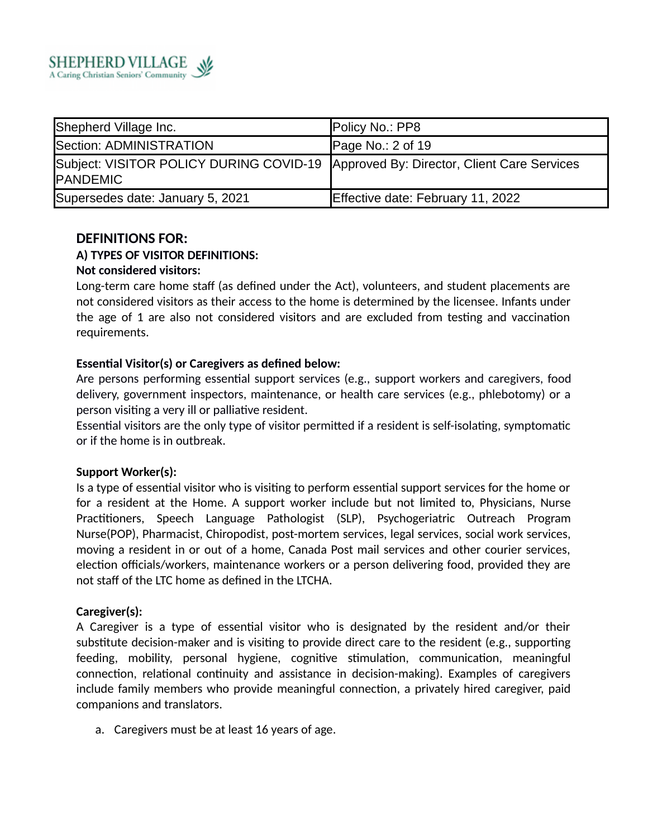

| Shepherd Village Inc.                                                                                  | Policy No.: PP8                   |
|--------------------------------------------------------------------------------------------------------|-----------------------------------|
| Section: ADMINISTRATION                                                                                | Page No.: 2 of 19                 |
| Subject: VISITOR POLICY DURING COVID-19 Approved By: Director, Client Care Services<br><b>PANDEMIC</b> |                                   |
| Supersedes date: January 5, 2021                                                                       | Effective date: February 11, 2022 |

### **DEFINITIONS FOR:**

### **A) TYPES OF VISITOR DEFINITIONS:**

### **Not considered visitors:**

Long-term care home staff (as defined under the Act), volunteers, and student placements are not considered visitors as their access to the home is determined by the licensee. Infants under the age of 1 are also not considered visitors and are excluded from testing and vaccination requirements.

### **Essential Visitor(s) or Caregivers as defined below:**

Are persons performing essential support services (e.g., support workers and caregivers, food delivery, government inspectors, maintenance, or health care services (e.g., phlebotomy) or a person visiting a very ill or palliative resident.

Essential visitors are the only type of visitor permitted if a resident is self-isolating, symptomatic or if the home is in outbreak.

### **Support Worker(s):**

Is a type of essential visitor who is visiting to perform essential support services for the home or for a resident at the Home. A support worker include but not limited to, Physicians, Nurse Practitioners, Speech Language Pathologist (SLP), Psychogeriatric Outreach Program Nurse(POP), Pharmacist, Chiropodist, post-mortem services, legal services, social work services, moving a resident in or out of a home, Canada Post mail services and other courier services, election officials/workers, maintenance workers or a person delivering food, provided they are not staff of the LTC home as defined in the LTCHA.

### **Caregiver(s):**

A Caregiver is a type of essential visitor who is designated by the resident and/or their substitute decision-maker and is visiting to provide direct care to the resident (e.g., supporting feeding, mobility, personal hygiene, cognitive stimulation, communication, meaningful connection, relational continuity and assistance in decision-making). Examples of caregivers include family members who provide meaningful connection, a privately hired caregiver, paid companions and translators.

a. Caregivers must be at least 16 years of age.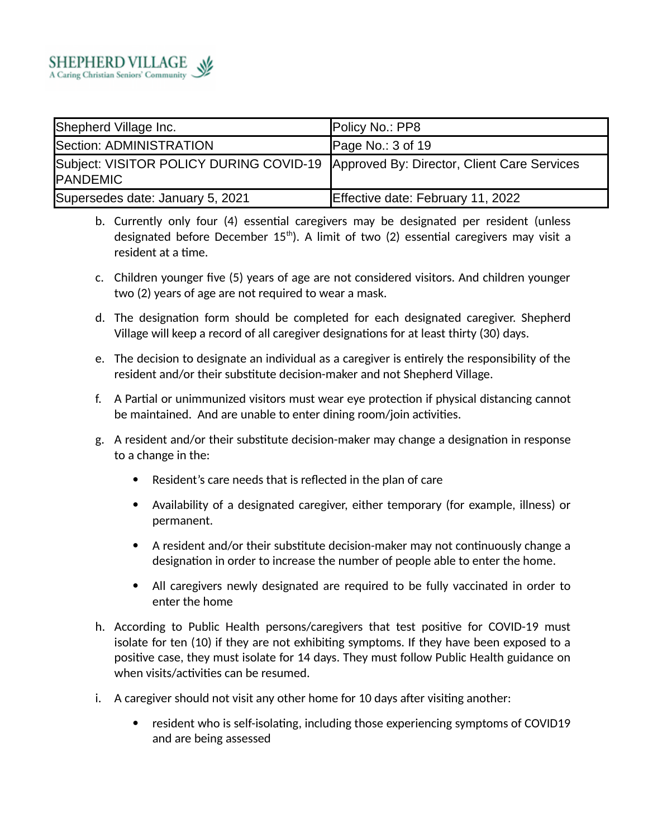

| Shepherd Village Inc.                                                                                  | Policy No.: PP8                   |
|--------------------------------------------------------------------------------------------------------|-----------------------------------|
| Section: ADMINISTRATION                                                                                | Page No.: 3 of 19                 |
| Subject: VISITOR POLICY DURING COVID-19 Approved By: Director, Client Care Services<br><b>PANDEMIC</b> |                                   |
| Supersedes date: January 5, 2021                                                                       | Effective date: February 11, 2022 |

- b. Currently only four (4) essential caregivers may be designated per resident (unless designated before December  $15<sup>th</sup>$ ). A limit of two (2) essential caregivers may visit a resident at a time.
- c. Children younger five (5) years of age are not considered visitors. And children younger two (2) years of age are not required to wear a mask.
- d. The designation form should be completed for each designated caregiver. Shepherd Village will keep a record of all caregiver designations for at least thirty (30) days.
- e. The decision to designate an individual as a caregiver is entirely the responsibility of the resident and/or their substitute decision-maker and not Shepherd Village.
- f. A Partial or unimmunized visitors must wear eye protection if physical distancing cannot be maintained. And are unable to enter dining room/join activities.
- g. A resident and/or their substitute decision-maker may change a designation in response to a change in the:
	- Resident's care needs that is reflected in the plan of care
	- Availability of a designated caregiver, either temporary (for example, illness) or permanent.
	- A resident and/or their substitute decision-maker may not continuously change a designation in order to increase the number of people able to enter the home.
	- All caregivers newly designated are required to be fully vaccinated in order to enter the home
- h. According to Public Health persons/caregivers that test positive for COVID-19 must isolate for ten (10) if they are not exhibiting symptoms. If they have been exposed to a positive case, they must isolate for 14 days. They must follow Public Health guidance on when visits/activities can be resumed.
- i. A caregiver should not visit any other home for 10 days after visiting another:
	- resident who is self-isolating, including those experiencing symptoms of COVID19 and are being assessed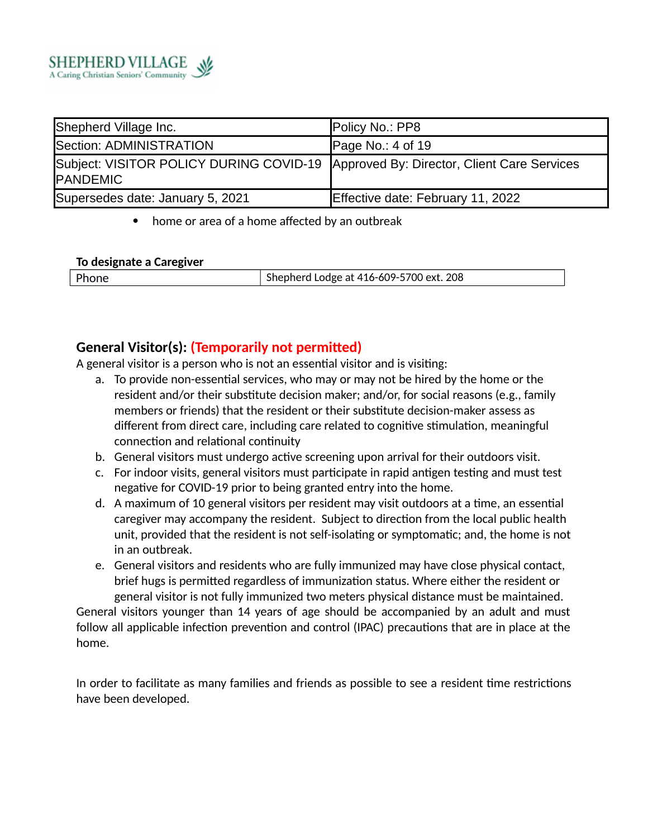

| Shepherd Village Inc.                                                                                  | Policy No.: PP8                   |
|--------------------------------------------------------------------------------------------------------|-----------------------------------|
| Section: ADMINISTRATION                                                                                | Page No.: $4$ of 19               |
| Subject: VISITOR POLICY DURING COVID-19 Approved By: Director, Client Care Services<br><b>PANDEMIC</b> |                                   |
| Supersedes date: January 5, 2021                                                                       | Effective date: February 11, 2022 |

home or area of a home affected by an outbreak

### **To designate a Caregiver**

| Phone | Shepherd Lodge at 416-609-5700 ext. 208 |
|-------|-----------------------------------------|

# **General Visitor(s): (Temporarily not permitted)**

A general visitor is a person who is not an essential visitor and is visiting:

- a. To provide non-essential services, who may or may not be hired by the home or the resident and/or their substitute decision maker; and/or, for social reasons (e.g., family members or friends) that the resident or their substitute decision-maker assess as different from direct care, including care related to cognitive stimulation, meaningful connection and relational continuity
- b. General visitors must undergo active screening upon arrival for their outdoors visit.
- c. For indoor visits, general visitors must participate in rapid antigen testing and must test negative for COVID-19 prior to being granted entry into the home.
- d. A maximum of 10 general visitors per resident may visit outdoors at a time, an essential caregiver may accompany the resident. Subject to direction from the local public health unit, provided that the resident is not self-isolating or symptomatic; and, the home is not in an outbreak.
- e. General visitors and residents who are fully immunized may have close physical contact, brief hugs is permitted regardless of immunization status. Where either the resident or general visitor is not fully immunized two meters physical distance must be maintained.

General visitors younger than 14 years of age should be accompanied by an adult and must follow all applicable infection prevention and control (IPAC) precautions that are in place at the home.

In order to facilitate as many families and friends as possible to see a resident time restrictions have been developed.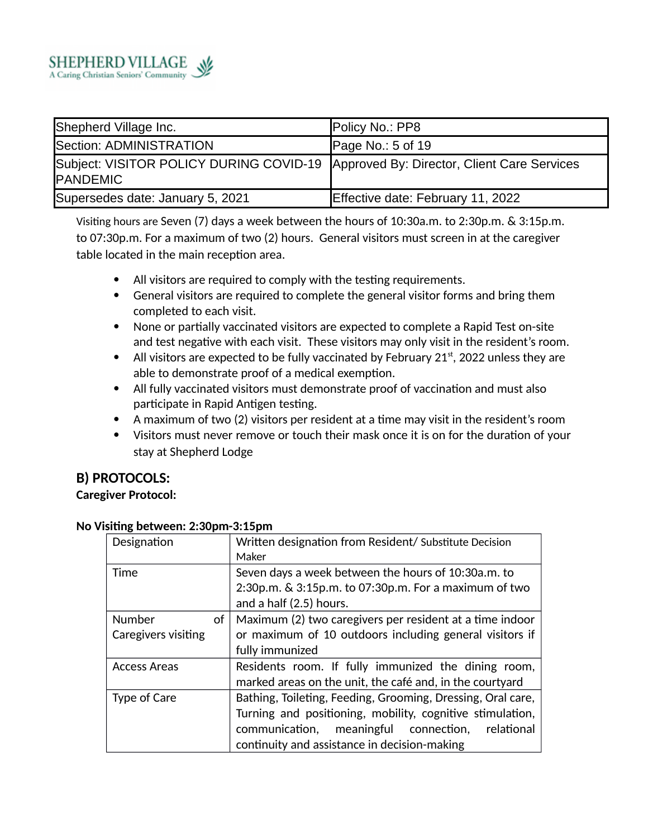

| Shepherd Village Inc.                                                                                  | Policy No.: PP8                   |
|--------------------------------------------------------------------------------------------------------|-----------------------------------|
| Section: ADMINISTRATION                                                                                | Page No.: 5 of 19                 |
| Subject: VISITOR POLICY DURING COVID-19 Approved By: Director, Client Care Services<br><b>PANDEMIC</b> |                                   |
| Supersedes date: January 5, 2021                                                                       | Effective date: February 11, 2022 |

Visiting hours are Seven (7) days a week between the hours of 10:30a.m. to 2:30p.m. & 3:15p.m. to 07:30p.m. For a maximum of two (2) hours. General visitors must screen in at the caregiver table located in the main reception area.

- All visitors are required to comply with the testing requirements.
- General visitors are required to complete the general visitor forms and bring them completed to each visit.
- None or partially vaccinated visitors are expected to complete a Rapid Test on-site and test negative with each visit. These visitors may only visit in the resident's room.
- All visitors are expected to be fully vaccinated by February 21 $\text{st}$ , 2022 unless they are able to demonstrate proof of a medical exemption.
- All fully vaccinated visitors must demonstrate proof of vaccination and must also participate in Rapid Antigen testing.
- A maximum of two (2) visitors per resident at a time may visit in the resident's room
- Visitors must never remove or touch their mask once it is on for the duration of your stay at Shepherd Lodge

### **B) PROTOCOLS:**

### **Caregiver Protocol:**

| Designation         | Written designation from Resident/Substitute Decision       |
|---------------------|-------------------------------------------------------------|
|                     | Maker                                                       |
| Time                | Seven days a week between the hours of 10:30a.m. to         |
|                     | $2:30p.m.$ & $3:15p.m.$ to $07:30p.m.$ For a maximum of two |
|                     | and a half (2.5) hours.                                     |
| <b>Number</b><br>of | Maximum (2) two caregivers per resident at a time indoor    |
| Caregivers visiting | or maximum of 10 outdoors including general visitors if     |
|                     | fully immunized                                             |
| Access Areas        | Residents room. If fully immunized the dining room,         |
|                     | marked areas on the unit, the café and, in the courtyard    |
| Type of Care        | Bathing, Toileting, Feeding, Grooming, Dressing, Oral care, |
|                     | Turning and positioning, mobility, cognitive stimulation,   |
|                     | communication,<br>meaningful<br>connection,<br>relational   |
|                     | continuity and assistance in decision-making                |

### **No Visiting between: 2:30pm-3:15pm**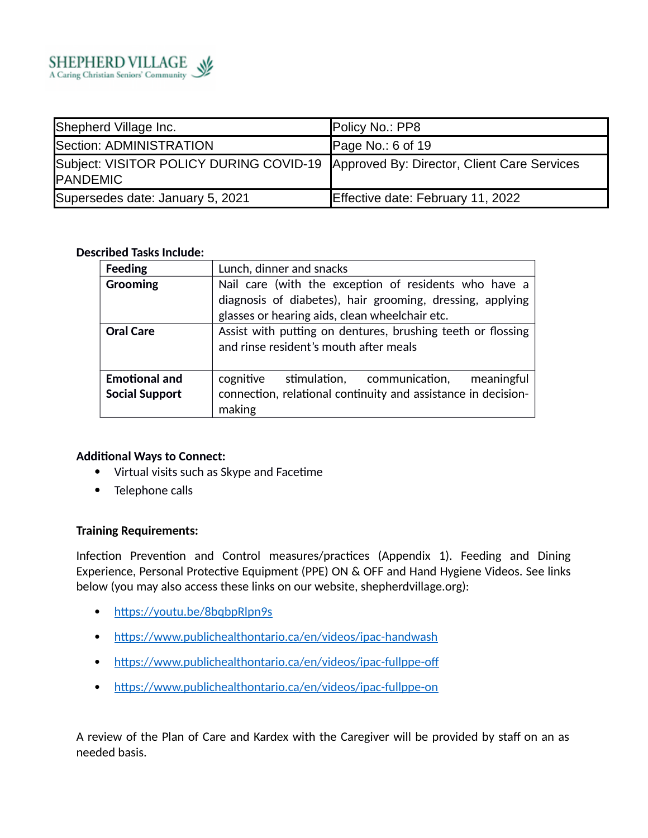

| Shepherd Village Inc.                                                                           | Policy No.: PP8                   |
|-------------------------------------------------------------------------------------------------|-----------------------------------|
| Section: ADMINISTRATION                                                                         | Page No.: $6$ of 19               |
| Subject: VISITOR POLICY DURING COVID-19 Approved By: Director, Client Care Services<br>PANDEMIC |                                   |
| Supersedes date: January 5, 2021                                                                | Effective date: February 11, 2022 |

### **Described Tasks Include:**

| <b>Feeding</b>                                | Lunch, dinner and snacks                                                                                                                                             |  |
|-----------------------------------------------|----------------------------------------------------------------------------------------------------------------------------------------------------------------------|--|
| <b>Grooming</b>                               | Nail care (with the exception of residents who have a<br>diagnosis of diabetes), hair grooming, dressing, applying<br>glasses or hearing aids, clean wheelchair etc. |  |
| <b>Oral Care</b>                              | Assist with putting on dentures, brushing teeth or flossing<br>and rinse resident's mouth after meals                                                                |  |
| <b>Emotional and</b><br><b>Social Support</b> | cognitive<br>stimulation, communication,<br>meaningful<br>connection, relational continuity and assistance in decision-<br>making                                    |  |

### **Additional Ways to Connect:**

- Virtual visits such as Skype and Facetime
- Telephone calls

### **Training Requirements:**

Infection Prevention and Control measures/practices (Appendix 1). Feeding and Dining Experience, Personal Protective Equipment (PPE) ON & OFF and Hand Hygiene Videos. See links below (you may also access these links on our website, shepherdvillage.org):

- https://youtu.be/8bqbpRlpn9s
- https://www.publichealthontario.ca/en/videos/ipac-handwash
- https://www.publichealthontario.ca/en/videos/ipac-fullppe-off
- https://www.publichealthontario.ca/en/videos/ipac-fullppe-on

A review of the Plan of Care and Kardex with the Caregiver will be provided by staff on an as needed basis.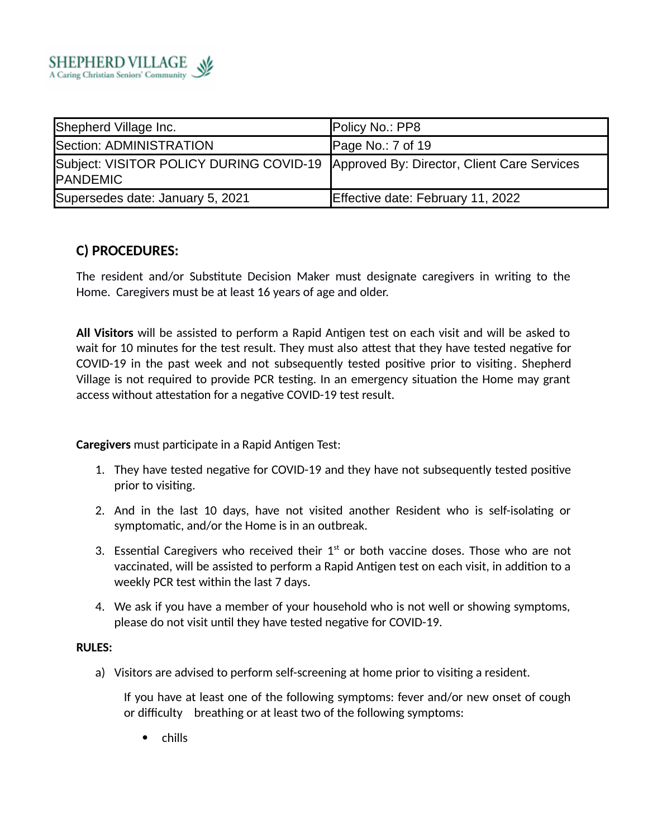

| Shepherd Village Inc.                                                                                  | Policy No.: PP8                   |
|--------------------------------------------------------------------------------------------------------|-----------------------------------|
| Section: ADMINISTRATION                                                                                | Page No.: 7 of 19                 |
| Subject: VISITOR POLICY DURING COVID-19 Approved By: Director, Client Care Services<br><b>PANDEMIC</b> |                                   |
| Supersedes date: January 5, 2021                                                                       | Effective date: February 11, 2022 |

# **C) PROCEDURES:**

The resident and/or Substitute Decision Maker must designate caregivers in writing to the Home. Caregivers must be at least 16 years of age and older.

**All Visitors** will be assisted to perform a Rapid Antigen test on each visit and will be asked to wait for 10 minutes for the test result. They must also attest that they have tested negative for COVID-19 in the past week and not subsequently tested positive prior to visiting. Shepherd Village is not required to provide PCR testing. In an emergency situation the Home may grant access without attestation for a negative COVID-19 test result.

**Caregivers** must participate in a Rapid Antigen Test:

- 1. They have tested negative for COVID-19 and they have not subsequently tested positive prior to visiting.
- 2. And in the last 10 days, have not visited another Resident who is self-isolating or symptomatic, and/or the Home is in an outbreak.
- 3. Essential Caregivers who received their  $1<sup>st</sup>$  or both vaccine doses. Those who are not vaccinated, will be assisted to perform a Rapid Antigen test on each visit, in addition to a weekly PCR test within the last 7 days.
- 4. We ask if you have a member of your household who is not well or showing symptoms, please do not visit until they have tested negative for COVID-19.

#### **RULES:**

a) Visitors are advised to perform self-screening at home prior to visiting a resident.

If you have at least one of the following symptoms: fever and/or new onset of cough or difficulty breathing or at least two of the following symptoms:

• chills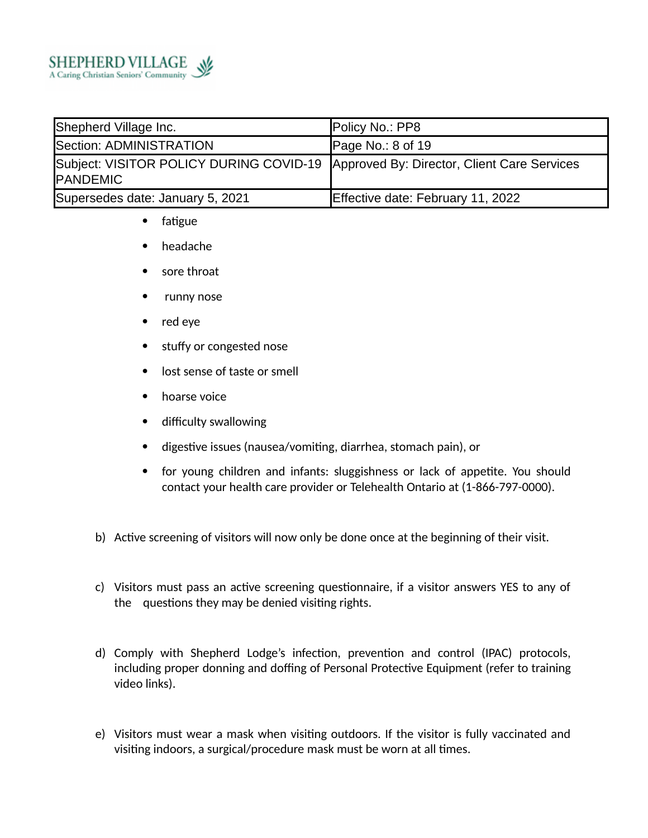

| Shepherd Village Inc.                                                                                  | Policy No.: PP8                   |
|--------------------------------------------------------------------------------------------------------|-----------------------------------|
| Section: ADMINISTRATION                                                                                | Page No.: $8$ of 19               |
| Subject: VISITOR POLICY DURING COVID-19 Approved By: Director, Client Care Services<br><b>PANDEMIC</b> |                                   |
| Supersedes date: January 5, 2021                                                                       | Effective date: February 11, 2022 |

- fatigue
- headache
- sore throat
- runny nose
- red eye
- stuffy or congested nose
- lost sense of taste or smell
- hoarse voice
- difficulty swallowing
- digestive issues (nausea/vomiting, diarrhea, stomach pain), or
- for young children and infants: sluggishness or lack of appetite. You should contact your health care provider or Telehealth Ontario at (1-866-797-0000).
- b) Active screening of visitors will now only be done once at the beginning of their visit.
- c) Visitors must pass an active screening questionnaire, if a visitor answers YES to any of the questions they may be denied visiting rights.
- d) Comply with Shepherd Lodge's infection, prevention and control (IPAC) protocols, including proper donning and doffing of Personal Protective Equipment (refer to training video links).
- e) Visitors must wear a mask when visiting outdoors. If the visitor is fully vaccinated and visiting indoors, a surgical/procedure mask must be worn at all times.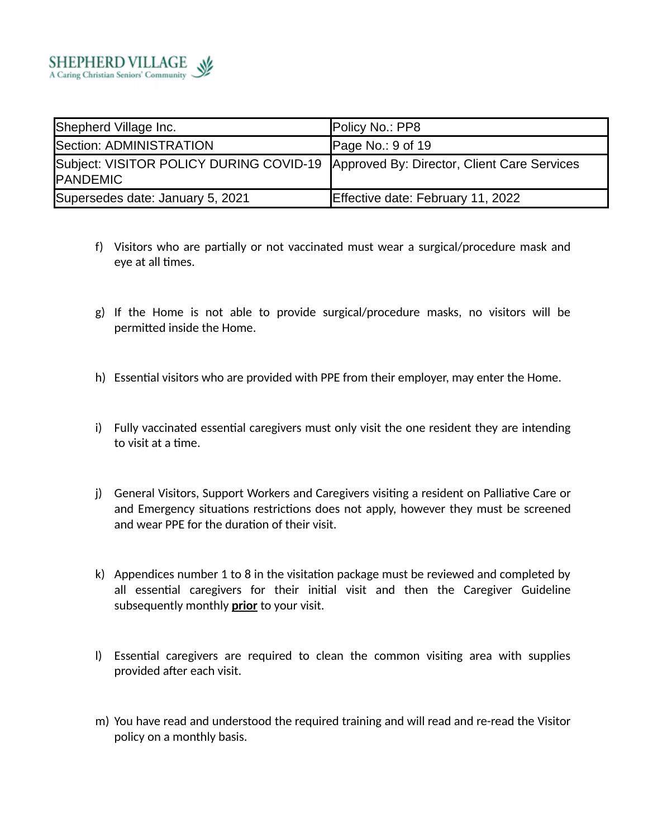

| Shepherd Village Inc.                                                                                  | Policy No.: PP8                   |
|--------------------------------------------------------------------------------------------------------|-----------------------------------|
| Section: ADMINISTRATION                                                                                | Page No.: 9 of 19                 |
| Subject: VISITOR POLICY DURING COVID-19 Approved By: Director, Client Care Services<br><b>PANDEMIC</b> |                                   |
| Supersedes date: January 5, 2021                                                                       | Effective date: February 11, 2022 |

- f) Visitors who are partially or not vaccinated must wear a surgical/procedure mask and eye at all times.
- g) If the Home is not able to provide surgical/procedure masks, no visitors will be permitted inside the Home.
- h) Essential visitors who are provided with PPE from their employer, may enter the Home.
- i) Fully vaccinated essential caregivers must only visit the one resident they are intending to visit at a time.
- j) General Visitors, Support Workers and Caregivers visiting a resident on Palliative Care or and Emergency situations restrictions does not apply, however they must be screened and wear PPE for the duration of their visit.
- k) Appendices number 1 to 8 in the visitation package must be reviewed and completed by all essential caregivers for their initial visit and then the Caregiver Guideline subsequently monthly **prior** to your visit.
- l) Essential caregivers are required to clean the common visiting area with supplies provided after each visit.
- m) You have read and understood the required training and will read and re-read the Visitor policy on a monthly basis.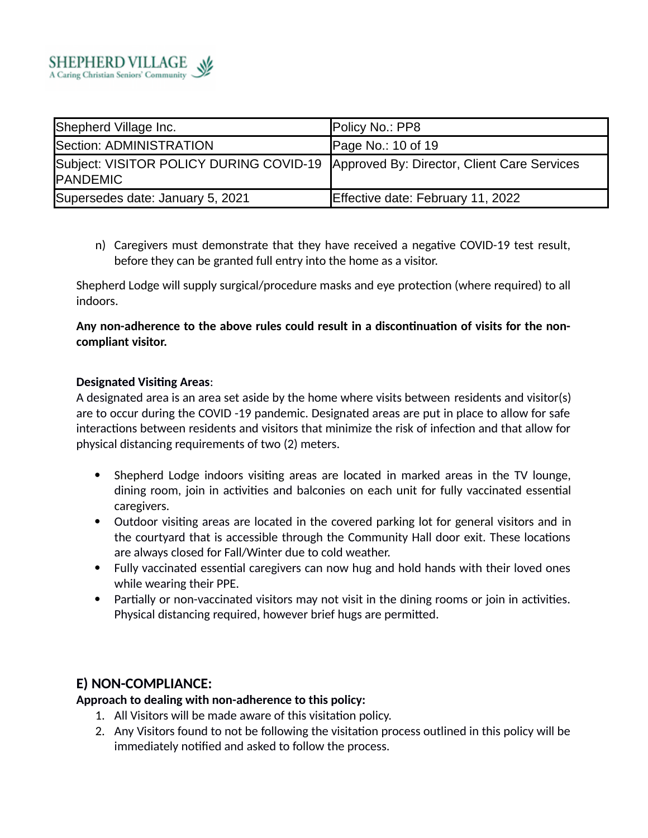

| Shepherd Village Inc.                                                                           | Policy No.: PP8                   |
|-------------------------------------------------------------------------------------------------|-----------------------------------|
| Section: ADMINISTRATION                                                                         | Page No.: 10 of 19                |
| Subject: VISITOR POLICY DURING COVID-19 Approved By: Director, Client Care Services<br>PANDEMIC |                                   |
| Supersedes date: January 5, 2021                                                                | Effective date: February 11, 2022 |

n) Caregivers must demonstrate that they have received a negative COVID-19 test result, before they can be granted full entry into the home as a visitor.

Shepherd Lodge will supply surgical/procedure masks and eye protection (where required) to all indoors.

**Any non-adherence to the above rules could result in a discontinuation of visits for the noncompliant visitor.**

### **Designated Visiting Areas**:

A designated area is an area set aside by the home where visits between residents and visitor(s) are to occur during the COVID -19 pandemic. Designated areas are put in place to allow for safe interactions between residents and visitors that minimize the risk of infection and that allow for physical distancing requirements of two (2) meters.

- Shepherd Lodge indoors visiting areas are located in marked areas in the TV lounge, dining room, join in activities and balconies on each unit for fully vaccinated essential caregivers.
- Outdoor visiting areas are located in the covered parking lot for general visitors and in the courtyard that is accessible through the Community Hall door exit. These locations are always closed for Fall/Winter due to cold weather.
- Fully vaccinated essential caregivers can now hug and hold hands with their loved ones while wearing their PPE.
- Partially or non-vaccinated visitors may not visit in the dining rooms or join in activities. Physical distancing required, however brief hugs are permitted.

### **E) NON-COMPLIANCE:**

**Approach to dealing with non-adherence to this policy:**

- 1. All Visitors will be made aware of this visitation policy.
- 2. Any Visitors found to not be following the visitation process outlined in this policy will be immediately notified and asked to follow the process.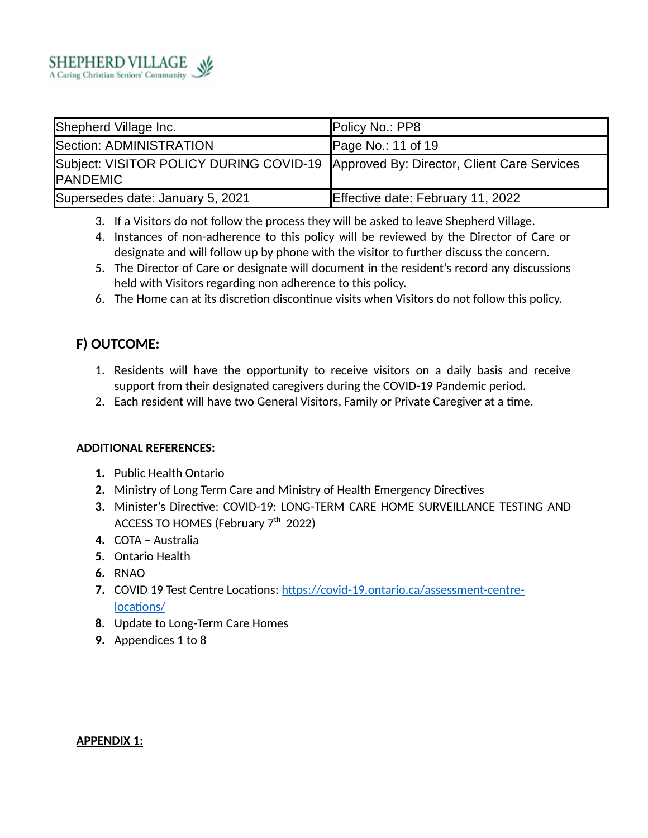

| Shepherd Village Inc.                                                                                  | Policy No.: PP8                   |
|--------------------------------------------------------------------------------------------------------|-----------------------------------|
| Section: ADMINISTRATION                                                                                | Page No.: 11 of 19                |
| Subject: VISITOR POLICY DURING COVID-19 Approved By: Director, Client Care Services<br><b>PANDEMIC</b> |                                   |
| Supersedes date: January 5, 2021                                                                       | Effective date: February 11, 2022 |

- 3. If a Visitors do not follow the process they will be asked to leave Shepherd Village.
- 4. Instances of non-adherence to this policy will be reviewed by the Director of Care or designate and will follow up by phone with the visitor to further discuss the concern.
- 5. The Director of Care or designate will document in the resident's record any discussions held with Visitors regarding non adherence to this policy.
- 6. The Home can at its discretion discontinue visits when Visitors do not follow this policy.

# **F) OUTCOME:**

- 1. Residents will have the opportunity to receive visitors on a daily basis and receive support from their designated caregivers during the COVID-19 Pandemic period.
- 2. Each resident will have two General Visitors, Family or Private Caregiver at a time.

### **ADDITIONAL REFERENCES:**

- **1.** Public Health Ontario
- **2.** Ministry of Long Term Care and Ministry of Health Emergency Directives
- **3.** Minister's Directive: COVID-19: LONG-TERM CARE HOME SURVEILLANCE TESTING AND ACCESS TO HOMES (February  $7<sup>th</sup>$  2022)
- **4.** COTA Australia
- **5.** Ontario Health
- **6.** RNAO
- **7.** COVID 19 Test Centre Locations: https://covid-19.ontario.ca/assessment-centrelocations/
- **8.** Update to Long-Term Care Homes
- **9.** Appendices 1 to 8

### **APPENDIX 1:**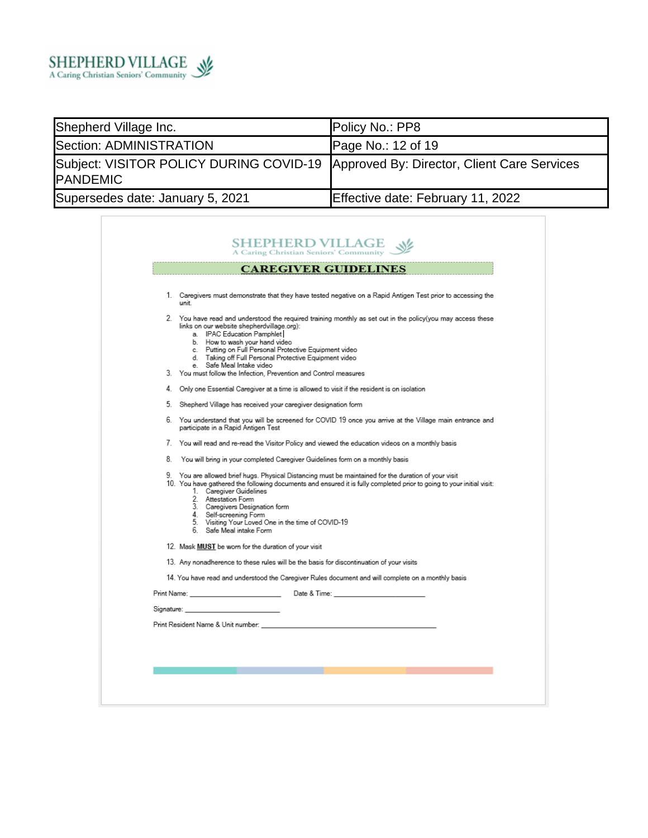

| Shepherd Village Inc.                                                                                  | Policy No.: PP8                   |
|--------------------------------------------------------------------------------------------------------|-----------------------------------|
| Section: ADMINISTRATION                                                                                | Page No.: 12 of 19                |
| Subject: VISITOR POLICY DURING COVID-19 Approved By: Director, Client Care Services<br><b>PANDEMIC</b> |                                   |
| Supersedes date: January 5, 2021                                                                       | Effective date: February 11, 2022 |

|            | 1. Caregivers must demonstrate that they have tested negative on a Rapid Antigen Test prior to accessing the<br>unit                                                                                                                                                                                                                                                                                                                            |
|------------|-------------------------------------------------------------------------------------------------------------------------------------------------------------------------------------------------------------------------------------------------------------------------------------------------------------------------------------------------------------------------------------------------------------------------------------------------|
|            | 2. You have read and understood the required training monthly as set out in the policy(you may access these<br>links on our website shepherdvillage.org):<br>a. IPAC Education Pamphlet<br>b. How to wash your hand video<br>c. Putting on Full Personal Protective Equipment video<br>d. Taking off Full Personal Protective Equipment video<br>e. Safe Meal Intake video<br>3. You must follow the Infection, Prevention and Control measures |
|            | 4. Only one Essential Caregiver at a time is allowed to visit if the resident is on isolation                                                                                                                                                                                                                                                                                                                                                   |
|            | 5. Shepherd Village has received your caregiver designation form                                                                                                                                                                                                                                                                                                                                                                                |
|            | 6. You understand that you will be screened for COVID 19 once you arrive at the Village main entrance and<br>participate in a Rapid Antigen Test                                                                                                                                                                                                                                                                                                |
|            | 7. You will read and re-read the Visitor Policy and viewed the education videos on a monthly basis                                                                                                                                                                                                                                                                                                                                              |
| 8.         | You will bring in your completed Caregiver Guidelines form on a monthly basis                                                                                                                                                                                                                                                                                                                                                                   |
| 9.         | You are allowed brief hugs. Physical Distancing must be maintained for the duration of your visit<br>10. You have gathered the following documents and ensured it is fully completed prior to going to your initial visit:<br>1. Caregiver Guidelines<br>2. Attestation Form<br>3. Caregivers Designation form<br>4. Self-screening Form<br>5. Visiting Your Loved One in the time of COVID-19<br>6. Safe Meal intake Form                      |
|            | 12. Mask MUST be worn for the duration of your visit                                                                                                                                                                                                                                                                                                                                                                                            |
|            | 13. Any nonadherence to these rules will be the basis for discontinuation of your visits                                                                                                                                                                                                                                                                                                                                                        |
|            | 14. You have read and understood the Caregiver Rules document and will complete on a monthly basis                                                                                                                                                                                                                                                                                                                                              |
|            |                                                                                                                                                                                                                                                                                                                                                                                                                                                 |
| Signature: |                                                                                                                                                                                                                                                                                                                                                                                                                                                 |
|            |                                                                                                                                                                                                                                                                                                                                                                                                                                                 |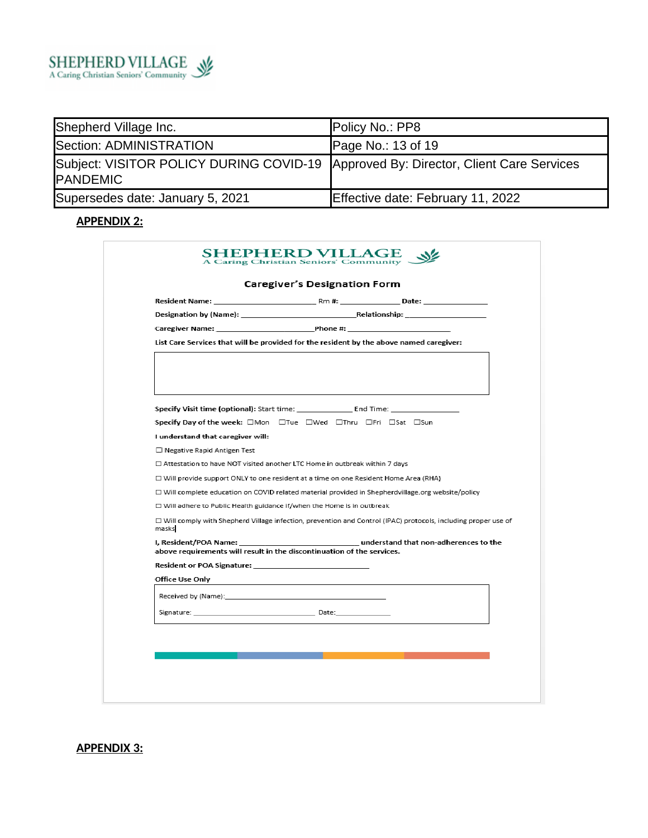

| Shepherd Village Inc.                                                                           | Policy No.: PP8                   |
|-------------------------------------------------------------------------------------------------|-----------------------------------|
| Section: ADMINISTRATION                                                                         | Page No.: 13 of 19                |
| Subject: VISITOR POLICY DURING COVID-19 Approved By: Director, Client Care Services<br>PANDEMIC |                                   |
| Supersedes date: January 5, 2021                                                                | Effective date: February 11, 2022 |

# **APPENDIX 2:**

|                                   | List Care Services that will be provided for the resident by the above named caregiver:                                                                                 |
|-----------------------------------|-------------------------------------------------------------------------------------------------------------------------------------------------------------------------|
|                                   |                                                                                                                                                                         |
|                                   | Specify Day of the week: □Mon □Tue □Wed □Thru □Fri □Sat □Sun                                                                                                            |
| I understand that caregiver will: |                                                                                                                                                                         |
| □ Negative Rapid Antigen Test     |                                                                                                                                                                         |
|                                   | $\Box$ Attestation to have NOT visited another LTC Home in outbreak within 7 days                                                                                       |
|                                   | $\Box$ Will provide support ONLY to one resident at a time on one Resident Home Area (RHA)                                                                              |
|                                   | □ Will complete education on COVID related material provided in Shepherdvillage.org website/policy                                                                      |
|                                   | $\Box$ Will adhere to Public Health guidance if/when the Home is in outbreak                                                                                            |
| masks                             | □ Will comply with Shepherd Village infection, prevention and Control (IPAC) protocols, including proper use of                                                         |
|                                   | I, Resident/POA Name: The Control of the Control of the Understand that non-adherences to the<br>above requirements will result in the discontinuation of the services. |
|                                   |                                                                                                                                                                         |
|                                   |                                                                                                                                                                         |
| Office Use Only                   |                                                                                                                                                                         |
|                                   |                                                                                                                                                                         |

# **APPENDIX 3:**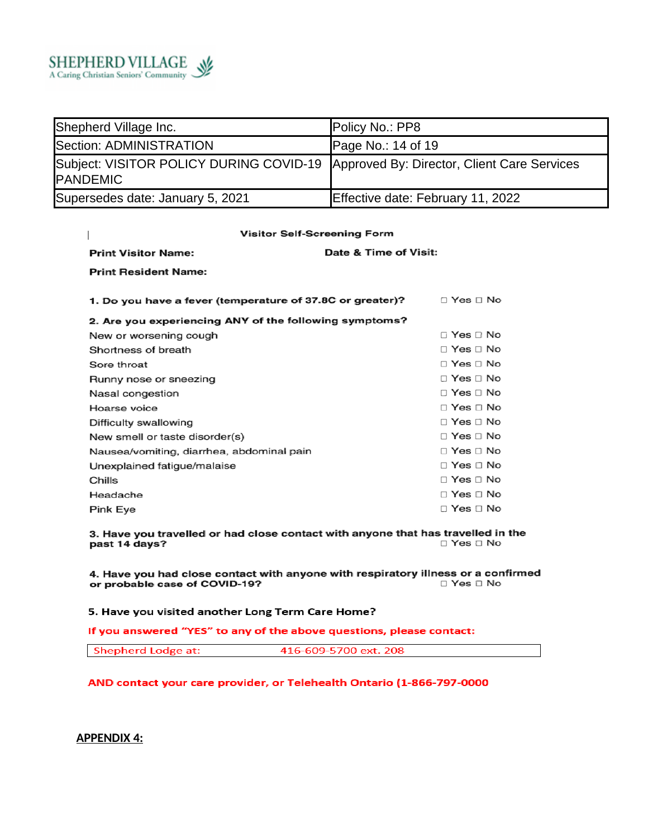

| Shepherd Village Inc.                                                                                  | Policy No.: PP8                   |
|--------------------------------------------------------------------------------------------------------|-----------------------------------|
| Section: ADMINISTRATION                                                                                | Page No.: $14$ of 19              |
| Subject: VISITOR POLICY DURING COVID-19 Approved By: Director, Client Care Services<br><b>PANDEMIC</b> |                                   |
| Supersedes date: January 5, 2021                                                                       | Effective date: February 11, 2022 |

#### **Visitor Self-Screening Form** Date & Time of Visit: **Print Visitor Name: Print Resident Name:** 1. Do you have a fever (temperature of 37.8C or greater)?  $\Box$  Yes  $\Box$  No 2. Are you experiencing ANY of the following symptoms? □ Yes □ No New or worsening cough Shortness of breath □ Yes □ No □ Yes □ No Sore throat □ Yes □ No Runny nose or sneezing □ Yes □ No Nasal congestion  $\Box$  Yes  $\Box$  No Hoarse voice □ Yes □ No Difficulty swallowing New smell or taste disorder(s)  $\Box$  Yes  $\Box$  No □ Yes □ No Nausea/vomiting, diarrhea, abdominal pain  $\Box$  Yes  $\Box$  No Unexplained fatigue/malaise □ Yes □ No Chills  $\Box$  Yes  $\Box$  No Headache □ Yes □ No Pink Eye

3. Have you travelled or had close contact with anyone that has travelled in the □ Yes □ No past 14 days?

4. Have you had close contact with anyone with respiratory illness or a confirmed or probable case of COVID-19?  $\Box$  Yes  $\Box$  No

5. Have you visited another Long Term Care Home?

If you answered "YES" to any of the above questions, please contact:

AND contact your care provider, or Telehealth Ontario (1-866-797-0000

**APPENDIX 4:**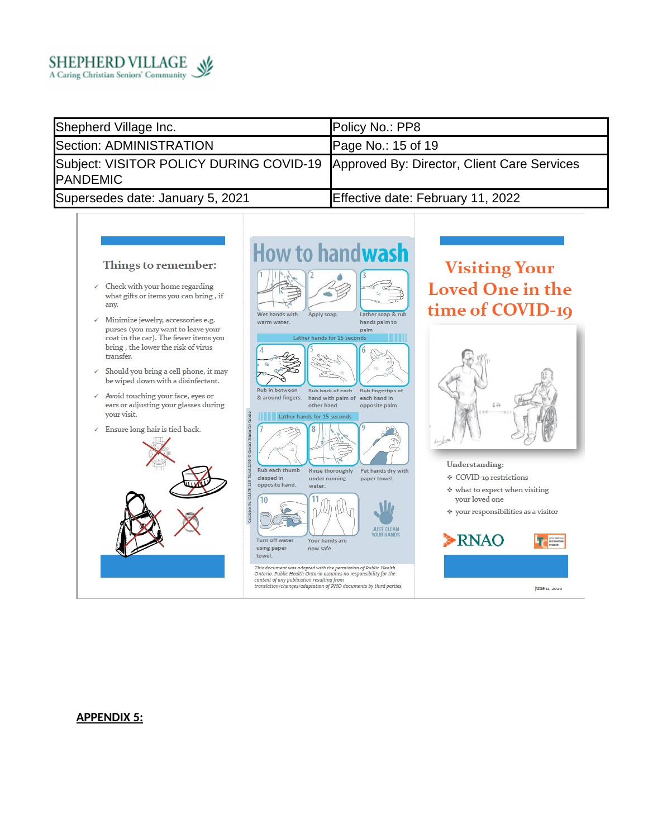

| Shepherd Village Inc.                                                                                  | Policy No.: PP8                   |
|--------------------------------------------------------------------------------------------------------|-----------------------------------|
| Section: ADMINISTRATION                                                                                | Page No.: $15$ of 19              |
| Subject: VISITOR POLICY DURING COVID-19 Approved By: Director, Client Care Services<br><b>PANDEMIC</b> |                                   |
| Supersedes date: January 5, 2021                                                                       | Effective date: February 11, 2022 |

#### Things to remember:

- $\checkmark$  Check with your home regarding what gifts or items you can bring, if any.
- $\checkmark$  Minimize jewelry, accessories e.g. purses (you may want to leave your coat in the car). The fewer items you bring, the lower the risk of virus transfer.
- $\checkmark$  Should you bring a cell phone, it may be wiped down with a disinfectant.
- $\checkmark$  Avoid touching your face, eyes or ears or adjusting your glasses during your visit.
- $\checkmark$  Ensure long hair is tied back.





# **Visiting Your Loved One in the** time of COVID-19



Understanding:

- ♦ COVID-19 restrictions
- \* what to expect when visiting your loved one
- $\hat{v}$  your responsibilities as a visitor



#### **APPENDIX 5:**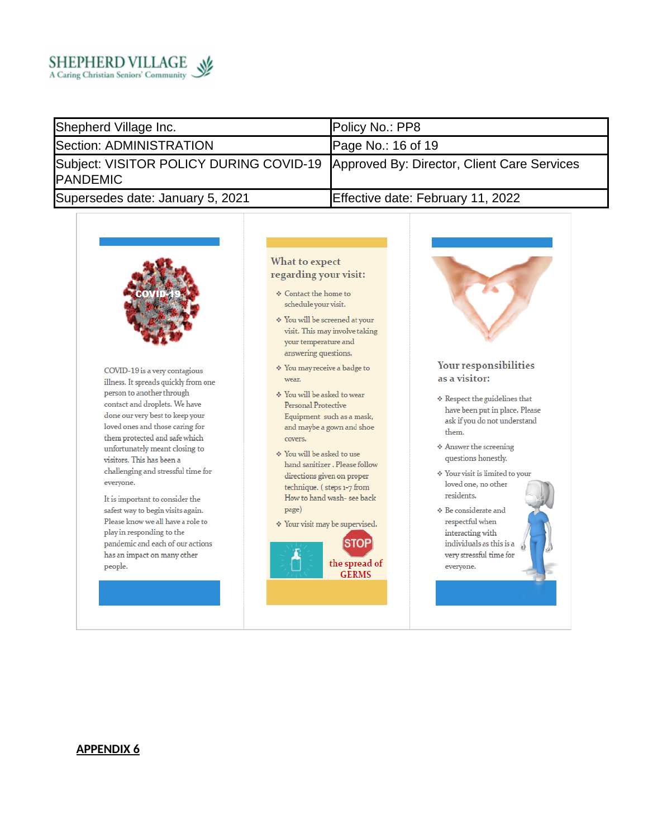

| Shepherd Village Inc.                                                                                   | Policy No.: PP8                   |
|---------------------------------------------------------------------------------------------------------|-----------------------------------|
| Section: ADMINISTRATION                                                                                 | Page No.: 16 of 19                |
| Subject: VISITOR POLICY DURING COVID-19 Approved By: Director, Client Care Services<br><b>IPANDEMIC</b> |                                   |
| Supersedes date: January 5, 2021                                                                        | Effective date: February 11, 2022 |



COVID-19 is a very contagious illness. It spreads quickly from one person to another through contact and droplets. We have done our very best to keep your loved ones and those caring for them protected and safe which unfortunately meant closing to visitors. This has been a challenging and stressful time for everyone.

It is important to consider the safest way to begin visits again. Please know we all have a role to play in responding to the pandemic and each of our actions has an impact on many other people.

#### **What to expect** regarding your visit:

- ♦ Contact the home to schedule your visit.
- ♦ You will be screened at your visit. This may involve taking your temperature and answering questions.
- \* You may receive a badge to wear.
- ♦ You will be asked to wear **Personal Protective** Equipment such as a mask, and maybe a gown and shoe covers.
- ♦ You will be asked to use hand sanitizer . Please follow directions given on proper technique. (steps 1-7 from How to hand wash- see back page)
- $\div$  Your visit may be supervised.





- $\Leftrightarrow$  Respect the guidelines that have been put in place. Please ask if you do not understand them.
- ♦ Answer the screening questions honestly.
- \* Your visit is limited to your loved one, no other residents.
- $\boldsymbol{\hat{\ast}}$ Be considerate and respectful when interacting with individuals as this is a very stressful time for everyone.

#### **APPENDIX 6**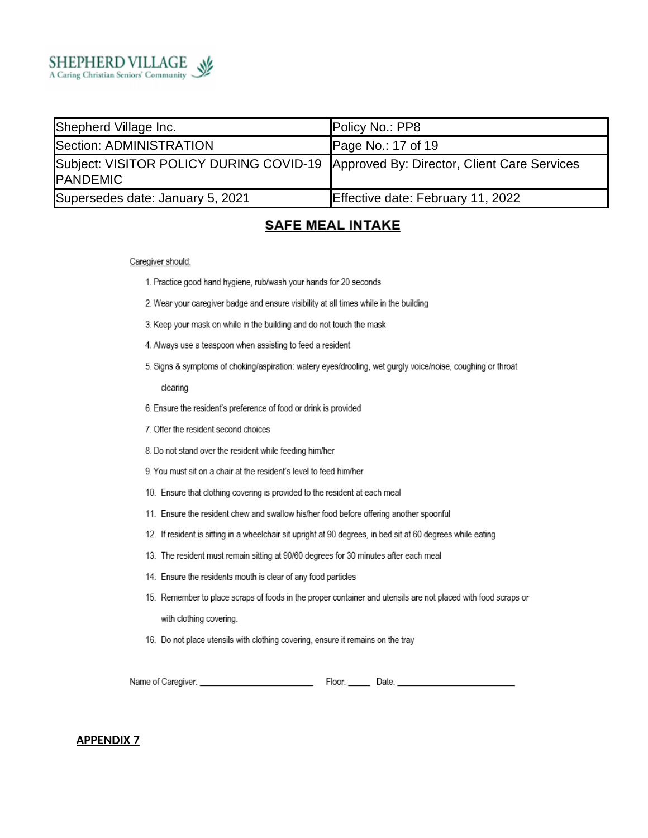

| Shepherd Village Inc.                                                                                  | Policy No.: PP8                   |
|--------------------------------------------------------------------------------------------------------|-----------------------------------|
| Section: ADMINISTRATION                                                                                | Page No.: 17 of 19                |
| Subject: VISITOR POLICY DURING COVID-19 Approved By: Director, Client Care Services<br><b>PANDEMIC</b> |                                   |
| Supersedes date: January 5, 2021                                                                       | Effective date: February 11, 2022 |

### **SAFE MEAL INTAKE**

#### Caregiver should:

- 1. Practice good hand hygiene, rub/wash your hands for 20 seconds
- 2. Wear your caregiver badge and ensure visibility at all times while in the building
- 3. Keep your mask on while in the building and do not touch the mask
- 4. Always use a teaspoon when assisting to feed a resident
- 5. Signs & symptoms of choking/aspiration: watery eyes/drooling, wet gurgly voice/noise, coughing or throat

#### clearing

- 6. Ensure the resident's preference of food or drink is provided
- 7. Offer the resident second choices
- 8. Do not stand over the resident while feeding him/her
- 9. You must sit on a chair at the resident's level to feed him/her
- 10. Ensure that clothing covering is provided to the resident at each meal
- 11. Ensure the resident chew and swallow his/her food before offering another spoonful
- 12. If resident is sitting in a wheelchair sit upright at 90 degrees, in bed sit at 60 degrees while eating
- 13. The resident must remain sitting at 90/60 degrees for 30 minutes after each meal
- 14. Ensure the residents mouth is clear of any food particles
- 15. Remember to place scraps of foods in the proper container and utensils are not placed with food scraps or with clothing covering.
- 16. Do not place utensils with clothing covering, ensure it remains on the tray

| Name of Caregiver: | -loor: | Jate |  |
|--------------------|--------|------|--|
|                    |        |      |  |

#### **APPENDIX 7**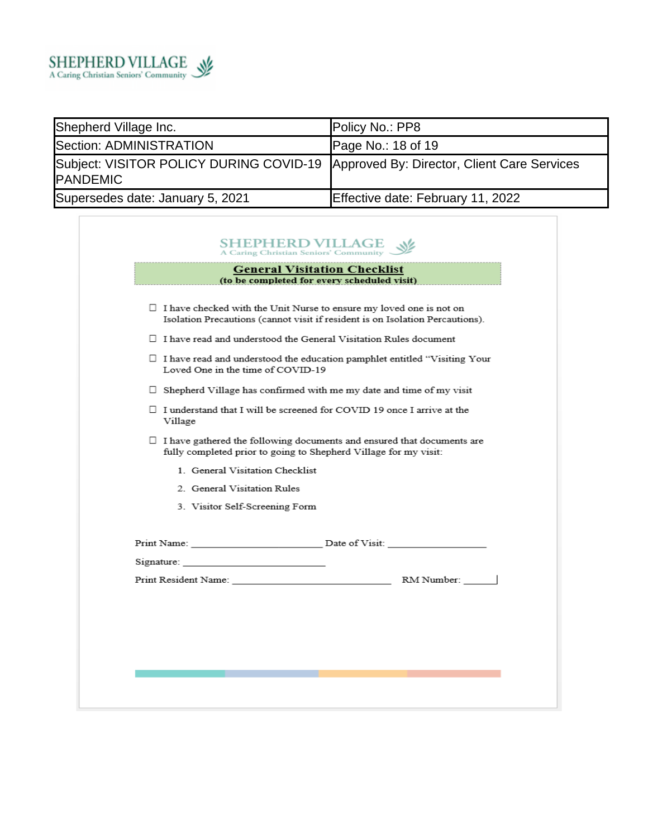

Г

| Shepherd Village Inc.                                                                                   | Policy No.: PP8                   |
|---------------------------------------------------------------------------------------------------------|-----------------------------------|
| Section: ADMINISTRATION                                                                                 | Page No.: $18$ of 19              |
| Subject: VISITOR POLICY DURING COVID-19 Approved By: Director, Client Care Services<br><b>IPANDEMIC</b> |                                   |
| Supersedes date: January 5, 2021                                                                        | Effective date: February 11, 2022 |

٦

|                                                                                                                                                   | $\Box$ I have checked with the Unit Nurse to ensure my loved one is not on                                             |  |
|---------------------------------------------------------------------------------------------------------------------------------------------------|------------------------------------------------------------------------------------------------------------------------|--|
|                                                                                                                                                   | Isolation Precautions (cannot visit if resident is on Isolation Percautions).                                          |  |
|                                                                                                                                                   | $\Box$ I have read and understood the General Visitation Rules document                                                |  |
|                                                                                                                                                   | $\Box$ I have read and understood the education pamphlet entitled "Visiting Your"<br>Loved One in the time of COVID-19 |  |
| $\Box$ Shepherd Village has confirmed with me my date and time of my visit                                                                        |                                                                                                                        |  |
| $\Box$ I understand that I will be screened for COVID 19 once I arrive at the<br>Village                                                          |                                                                                                                        |  |
| $\Box$ I have gathered the following documents and ensured that documents are<br>fully completed prior to going to Shepherd Village for my visit: |                                                                                                                        |  |
| 1 General Visitation Checklist                                                                                                                    |                                                                                                                        |  |
| 2. General Visitation Rules                                                                                                                       |                                                                                                                        |  |
| 3. Visitor Self-Screening Form                                                                                                                    |                                                                                                                        |  |
|                                                                                                                                                   |                                                                                                                        |  |
| Signature: the contract of the contract of the contract of the contract of the contract of the contract of the                                    |                                                                                                                        |  |
|                                                                                                                                                   |                                                                                                                        |  |
|                                                                                                                                                   |                                                                                                                        |  |
|                                                                                                                                                   |                                                                                                                        |  |
|                                                                                                                                                   |                                                                                                                        |  |